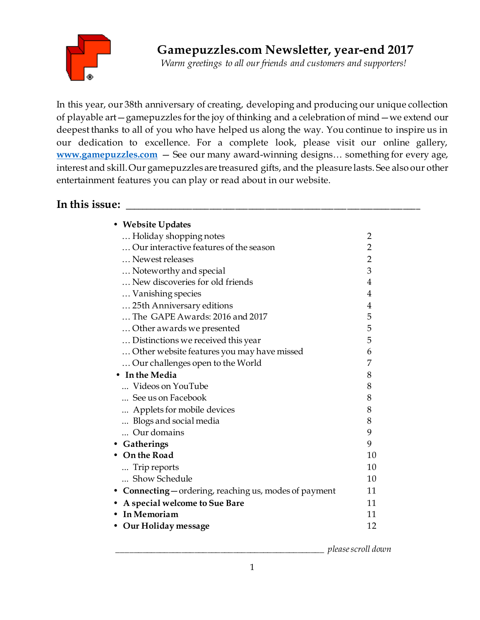

*Warm greetings to all our friends and customers and supporters!*

In this year, our 38th anniversary of creating, developing and producing our unique collection of playable art—gamepuzzles for the joy of thinking and a celebration of mind—we extend our deepest thanks to all of you who have helped us along the way. You continue to inspire us in our dedication to excellence. For a complete look, please visit our online gallery, **[www.gamepuzzles.com](http://www.gamepuzzles.com/)** — See our many award-winning designs… something for every age, interest and skill. Our gamepuzzles are treasured gifts, and the pleasure lasts. See also our other entertainment features you can play or read about in our website.

# In this issue:

| • Website Updates                                      |                |
|--------------------------------------------------------|----------------|
| Holiday shopping notes                                 | 2              |
| Our interactive features of the season                 | $\overline{2}$ |
| Newest releases                                        | $\overline{2}$ |
| Noteworthy and special                                 | 3              |
| New discoveries for old friends                        | 4              |
| Vanishing species                                      | 4              |
| 25th Anniversary editions                              | 4              |
| The GAPE Awards: 2016 and 2017                         | 5              |
| Other awards we presented                              | 5              |
| Distinctions we received this year                     | 5              |
| Other website features you may have missed             | 6              |
| Our challenges open to the World                       | 7              |
| • In the Media                                         | 8              |
| Videos on YouTube                                      | 8              |
| See us on Facebook                                     | 8              |
| Applets for mobile devices                             | 8              |
| Blogs and social media                                 | 8              |
| Our domains                                            | 9              |
| • Gatherings                                           | 9              |
| • On the Road                                          | 10             |
| Trip reports                                           | 10             |
| Show Schedule                                          | 10             |
| • Connecting – ordering, reaching us, modes of payment | 11             |
| • A special welcome to Sue Bare                        | 11             |
| • In Memoriam                                          | 11             |
| • Our Holiday message                                  | 12             |
|                                                        |                |

\_\_\_\_\_\_\_\_\_\_\_\_\_\_\_\_\_\_\_\_\_\_\_\_\_\_\_\_\_\_\_\_\_\_\_\_\_\_\_\_\_\_\_\_\_\_\_\_ *please scroll down*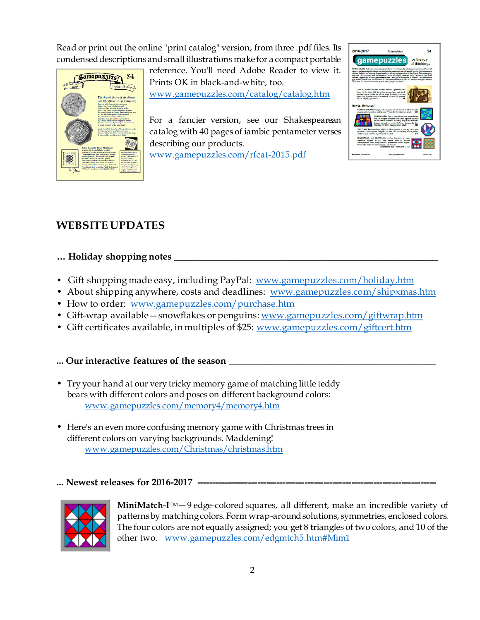Read or print out the online "print catalog" version, from three .pdf files. Its condensed descriptions and small illustrations make for a compact portable



reference. You'll need Adobe Reader to view it. Prints OK in black-and-white, too. [www.gamepuzzles.com/catalog/catalog.htm](http://www.gamepuzzles.com/catalog/catalog.htm)

For a fancier version, see our Shakespearean catalog with 40 pages of iambic pentameter verses describing our products.

[www.gamepuzzles.com/rfcat-2015.pd](http://www.gamepuzzles.com/rfcat-2015.pdf)f



# **WEBSITE UPDATES**

## **… Holiday shopping notes \_\_\_\_\_\_\_\_\_\_\_\_\_\_\_\_\_\_\_\_\_\_\_\_\_\_\_\_\_\_\_\_\_\_\_\_\_\_\_\_\_\_\_\_\_\_\_\_\_\_\_\_\_\_\_\_**

- Gift shopping made easy, including PayPal: [www.gamepuzzles.com/holiday.htm](http://www.gamepuzzles.com/holiday.htm)
- About shipping anywhere, costs and deadlines: [www.gamepuzzles.com/shipxmas.htm](http://www.gamepuzzles.com/shipxmas.htm)
- How to order: [www.gamepuzzles.com/purchase.htm](http://www.gamepuzzles.com/purchase.htm)
- Gift-wrap available snowflakes or penguins[: www.gamepuzzles.com/giftwrap.htm](http://www.gamepuzzles.com/giftwrap.htm)
- Gift certificates available, in multiples of \$25: [www.gamepuzzles.com/giftcert.htm](http://www.gamepuzzles.com/giftcert.htm)

## **... Our interactive features of the season \_\_\_\_\_\_\_\_\_\_\_\_\_\_\_\_\_\_\_\_\_\_\_\_\_\_\_\_\_\_\_\_\_\_\_\_\_\_\_\_\_\_\_\_**

- Try your hand at our very tricky memory game of matching little teddy bears with different colors and poses on different background colors: [www.gamepuzzles.com/memory4/memory4.htm](http://www.gamepuzzles.com/memory4/memory4.htm)
- Here's an even more confusing memory game with Christmas trees in different colors on varying backgrounds. Maddening! [www.gamepuzzles.com/Christmas/christmas.htm](http://www.gamepuzzles.com/Christmas/christmas.htm)

## ... Newest releases for 2016-2017 -



MiniMatch-I<sup>TM</sup> - 9 edge-colored squares, all different, make an incredible variety of patterns by matching colors. Form wrap-around solutions, symmetries, enclosed colors. The four colors are not equally assigned; you get 8 triangles of two colors, and 10 of the other two. [www.gamepuzzles.com/edgmtch5.htm#Mim](http://www.gamepuzzles.com/edgmtch5.htm#Mim1)1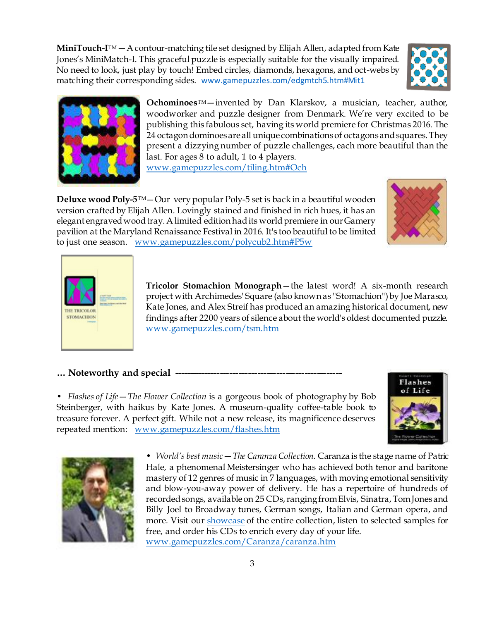3

MiniTouch-I<sup>TM</sup> — A contour-matching tile set designed by Elijah Allen, adapted from Kate Jones's MiniMatch-I. This graceful puzzle is especially suitable for the visually impaired. No need to look, just play by touch! Embed circles, diamonds, hexagons, and oct-webs by matching their corresponding sides. [www.gamepuzzles.com/edgmtch5.htm#Mit](http://www.gamepuzzles.com/edgmtch5.htm#Mit1)1

> **Ochominoes**TM—invented by Dan Klarskov, a musician, teacher, author, woodworker and puzzle designer from Denmark. We're very excited to be publishing this fabulous set, having its world premiere for Christmas 2016. The 24 octagon dominoes are all unique combinations of octagons and squares. They present a dizzying number of puzzle challenges, each more beautiful than the last. For ages 8 to adult, 1 to 4 players.

[www.gamepuzzles.com/tiling.htm#Och](http://www.gamepuzzles.com/tiling.htm#Och)

**Deluxe wood Poly-5**TM—Our very popular Poly-5 set is back in a beautiful wooden version crafted by Elijah Allen. Lovingly stained and finished in rich hues, it has an elegant engraved wood tray. A limited edition had its world premiere in our Gamery pavilion at the Maryland Renaissance Festival in 2016. It's too beautiful to be limited to just one season. [www.gamepuzzles.com/polycub2.htm#P5w](http://www.gamepuzzles.com/polycub2.htm#P5w)

> **Tricolor Stomachion Monograph**—the latest word! A six-month research project with Archimedes' Square (also known as "Stomachion") by Joe Marasco, Kate Jones, and Alex Streif has produced an amazing historical document, new findings after 2200 years of silence about the world's oldest documented puzzle. [www.gamepuzzles.com/tsm.htm](http://www.gamepuzzles.com/tsm.htm)

**… Noteworthy and special ------------------------------------------------------**

**STOMACHION** 

• *Flashes of Life*—*The Flower Collection* is a gorgeous book of photography by Bob Steinberger, with haikus by Kate Jones. A museum-quality coffee-table book to treasure forever. A perfect gift. While not a new release, its magnificence deserves repeated mention: [www.gamepuzzles.com/flashes.htm](file:///C:/Users/Kate/Documents/kadonweb/Working/www.gamepuzzles.com/flashes.htm)

> • *World's best music*—*The Caranza Collection.* Caranza is the stage name of Patric Hale, a phenomenal Meistersinger who has achieved both tenor and baritone mastery of 12 genres of music in 7 languages, with moving emotional sensitivity and blow-you-away power of delivery. He has a repertoire of hundreds of recorded songs, available on 25 CDs, ranging from Elvis, Sinatra, Tom Jones and Billy Joel to Broadway tunes, German songs, Italian and German opera, and more. Visit ou[r showcase](file:///C:/Users/Kate/Documents/kadonweb/website/Caranza/caranza.htm) of the entire collection, listen to selected samples for free, and order his CDs to enrich every day of your life. [www.gamepuzzles.com/Caranza/caranza.htm](http://www.gamepuzzles.com/Caranza/caranza.htm)







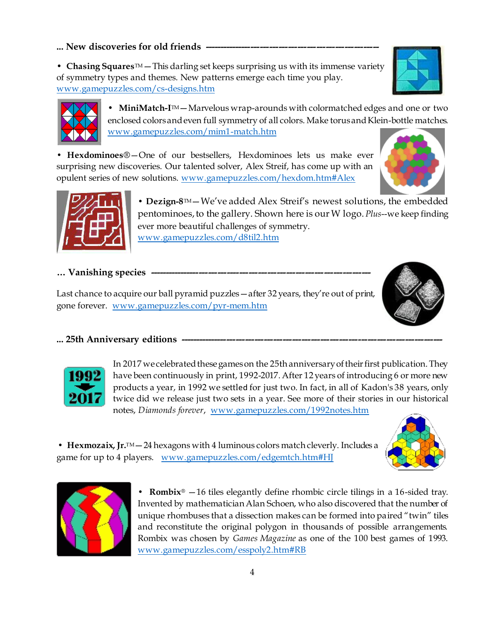ever more beautiful challenges of symmetry.

[www.gamepuzzles.com/d8til2.htm](http://www.gamepuzzles.com/d8til2.htm)

opulent series of new solutions. [www.gamepuzzles.com/hexdom.htm#Ale](http://www.gamepuzzles.com/hexdom.htm#Alex)x

[www.gamepuzzles.com/mim1-match.htm](http://www.gamepuzzles.com/mim1-match.htm)

… Vanishing species -

Last chance to acquire our ball pyramid puzzles—after 32 years, they're out of print, gone forever. [www.gamepuzzles.com/pyr-mem.htm](http://www.gamepuzzles.com/pyr-mem.htm)

### ... 25th Anniversary editions ---

In 2017 we celebrated these games on the 25th anniversary of their first publication. They have been continuously in print, 1992-2017. After 12 years of introducing 6 or more new products a year, in 1992 we settled for just two. In fact, in all of Kadon's 38 years, only twice did we release just two sets in a year. See more of their stories in our historical notes, *Diamonds forever*[, www.gamepuzzles.com/1992notes.ht](http://www.gamepuzzles.com/1992notes.htm)m

• MiniMatch-I<sup>M</sup> – Marvelous wrap-arounds with colormatched edges and one or two

**• Dezign-8**TM—We've added Alex Streif's newest solutions, the embedded pentominoes, to the gallery. Shown here is our W logo. *Plus*--we keep finding

• **Hexmozaix, Jr.**TM — 24 hexagons with 4 luminous colors match cleverly. Includes a game for up to 4 players. [www.gamepuzzles.com/edgemtch.htm#H](http://www.gamepuzzles.com/edgemtch.htm#HJ)J

> **• [Rombix](file:///C:/Users/Kate/Documents/kadonweb/website/esspoly2.htm%23RB)**® —16 tiles elegantly define rhombic circle tilings in a 16-sided tray. Invented by mathematician Alan Schoen, who also discovered that the number of unique rhombuses that a dissection makes can be formed into paired "twin" tiles and reconstitute the original polygon in thousands of possible arrangements. Rombix was chosen by *Games Magazine* as one of the 100 best games of 1993. [www.gamepuzzles.com/esspoly2.htm#RB](http://www.gamepuzzles.com/esspoly2.htm#RB)

• **Chasing Squares**<sup>TM</sup> — This darling set keeps surprising us with its immense variety of symmetry types and themes. New patterns emerge each time you play. [www.gamepuzzles.com/cs-designs.htm](http://www.gamepuzzles.com/cs-designs.htm)









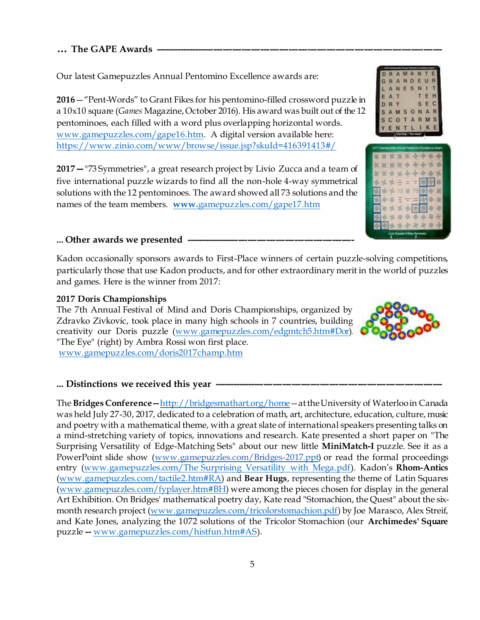## **… The GAPE Awards**

Our latest Gamepuzzles Annual Pentomino Excellence awards are:

**2016**—"Pent-Words" to Grant Fikes for his pentomino-filled crossword puzzle in a 10x10 square (*Games* Magazine, October 2016). His award was built out of the 12 pentominoes, each filled with a word plus overlapping horizontal words. [www.gamepuzzles.com/gape16.htm](http://www.gamepuzzles.com/gape16.htm). A digital version available here: [https://www.zinio.com/www/browse/issue.jsp?skuId=416391413#](https://www.zinio.com/www/browse/issue.jsp?skuId=416391413#/)/

**2017—**["73 Symmetries",](file:///C:/Users/Kate/Documents/kadonweb/website/gape17.htm) a great research project by Livio Zucca and a team of five international puzzle wizards to find all the non-hole 4-way symmetrical solutions with the 12 pentominoes. The award showed all 73 solutions and the names of the team members. **www.**[gamepuzzles.com/gape17.htm](http://www.gamepuzzles.com/gape17.htm)

## **... Other awards we presented ------------------------------------------------------**

Kadon occasionally sponsors awards to First-Place winners of certain puzzle-solving competitions, particularly those that use Kadon products, and for other extraordinary merit in the world of puzzles and games. Here is the winner from 2017:

#### **2017 Doris Championships**

The 7th Annual Festival of Mind and Doris Championships, organized by Zdravko Zivkovic, took place in many high schools in 7 countries, building creativity our [Doris](file:///C:/Users/Kate/Documents/kadonweb/website/edgmtch5.htm%23Dor) puzzle [\(www.gamepuzzles.com/edgmtch5.htm#Dor\)](http://www.gamepuzzles.com/edgmtch5.htm#Dor)[.](file:///C:/Users/Kate/Documents/kadonweb/website/doris2017champ.htm)  "The Eye" (right) by Ambra Rossi won first place. [www.gamepuzzles.com/doris2017champ.htm](http://www.gamepuzzles.com/doris2017champ.htm)

#### ... Distinctions we received this year -

The **Bridges Conference--**<http://bridgesmathart.org/home> -- at the University of Waterloo in Canada was held July 27-30, 2017, dedicated to a celebration of math, art, architecture, education, culture, music and poetry with a mathematical theme, with a great slate of international speakers presenting talks on a mind-stretching variety of topics, innovations and research. Kate presented a short paper on ["The](file:///C:/Users/Kate/Documents/kadonweb/website/surprising-bridges2017.pdf)  [Surprising Versatility of Edge-Matching Sets"](file:///C:/Users/Kate/Documents/kadonweb/website/surprising-bridges2017.pdf) about our new little **MiniMatch-I** puzzle. See it as a PowerPoint slide show [\(www.gamepuzzles.com/Bridges-2017.ppt](http://www.gamepuzzles.com/Bridges-2017.ppt)) or read the formal proceedings entry [\(www.gamepuzzles.com/The Surprising Versatility with Mega.pdf\)](http://www.gamepuzzles.com/The%20Surprising%20Versatility%20with%20Mega.pdf). Kadon's **Rhom-Antics**  [\(www.gamepuzzles.com/tactile2.htm#RA](http://www.gamepuzzles.com/tactile2.htm#RA)) and **Bear Hugs**, representing the theme of Latin Squares [\(www.gamepuzzles.com/fyplayer.htm#BH](http://www.gamepuzzles.com/fyplayer.htm#BH)) were among the pieces chosen for display in the general Art Exhibition. On Bridges' mathematical poetry day, Kate rea[d "Stomachion, the Quest"](file:///C:/Users/Kate/Documents/kadonweb/website/TricolorStomachion.pdf) about the sixmonth research project [\(www.gamepuzzles.com/tricolorstomachion.pdf](http://www.gamepuzzles.com/tricolorstomachion.pdf)) by Joe Marasco, Alex Streif, and Kate Jones, analyzing the 1072 solutions of the Tricolor Stomachion (our **[Archimedes' Square](file:///C:/Users/Kate/Documents/kadonweb/website/histfun.htm%23AS)** puzzle **--** [www.gamepuzzles.com/histfun.htm#AS](http://www.gamepuzzles.com/histfun.htm#AS)).





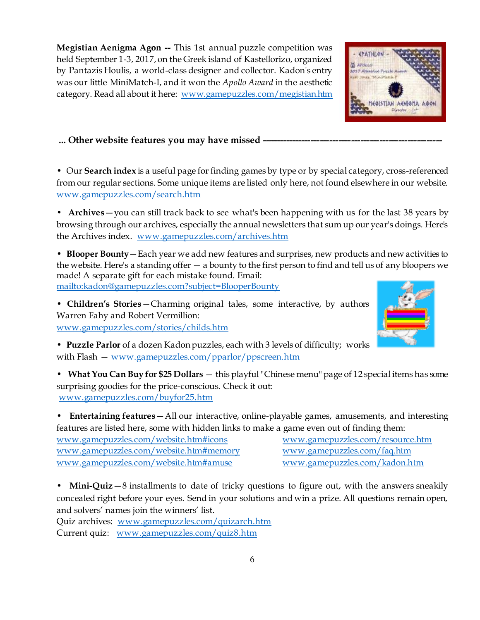**Megistian Aenigma Agon --** This 1st annual puzzle competition was held September 1-3, 2017, on the Greek island of Kastellorizo, organized by Pantazis Houlis, a world-class designer and collector. Kadon's entry was our little [MiniMatch-I,](file:///C:/Users/Kate/Documents/kadonweb/website/edgmtch5.htm%23Mim1) and it won the *[Apollo Award](file:///C:/Users/Kate/Documents/kadonweb/website/megistian.htm)* in the aesthetic category. Read all about it here: [www.gamepuzzles.com/megistian.htm](http://www.gamepuzzles.com/megistian.htm)

## ... Other website features you may have missed ---

• Our **Search index** is a useful page for finding games by type or by special category, cross-referenced from our regular sections. Some unique items are listed only here, not found elsewhere in our website. [www.gamepuzzles.com/search.htm](http://www.gamepuzzles.com/search.htm)

• **Archives**—you can still track back to see what's been happening with us for the last 38 years by browsing through our archives, especially the annual newsletters that sum up our year's doings. Here's the Archives index. [www.gamepuzzles.com/archives.htm](http://www.gamepuzzles.com/archives.htm)

• **Blooper Bounty**—Each year we add new features and surprises, new products and new activities to the website. Here's a standing offer — a bounty to the first person to find and tell us of any bloopers we made! A separate gift for each mistake found. Email:

<mailto:kadon@gamepuzzles.com?subject=BlooperBounty>

• **Children's Stories**—Charming original tales, some interactive, by authors Warren Fahy and Robert Vermillion:

[www.gamepuzzles.com/stories/childs.htm](http://www.gamepuzzles.com/stories/childs.htm)

• **Puzzle Parlor** of a dozen Kadon puzzles, each with 3 levels of difficulty; works with Flash — [www.gamepuzzles.com/pparlor/ppscreen.htm](http://www.gamepuzzles.com/pparlor/ppscreen.htm)

• **What You Can Buy for \$25 Dollars** — this playful "Chinese menu" page of 12 special items has some surprising goodies for the price-conscious. Check it out: [www.gamepuzzles.com/buyfor25.htm](http://www.gamepuzzles.com/buyfor25.htm)

• **Entertaining features**—All our interactive, online-playable games, amusements, and interesting features are listed here, some with hidden links to make a game even out of finding them:

[www.gamepuzzles.com/website.htm#icons](http://www.gamepuzzles.com/website.htm#icons) [www.gamepuzzles.com/resource.htm](http://www.gamepuzzles.com/resource.htm) [www.gamepuzzles.com/website.htm#memory](http://www.gamepuzzles.com/website.htm#memory) [www.gamepuzzles.com/faq.htm](http://www.gamepuzzles.com/faq.htm) [www.gamepuzzles.com/website.htm#amuse](http://www.gamepuzzles.com/website.htm#amuse) [www.gamepuzzles.com/kadon.htm](http://www.gamepuzzles.com/kadon.htm)

• **Mini-Quiz** – 8 installments to date of tricky questions to figure out, with the answers sneakily concealed right before your eyes. Send in your solutions and win a prize. All questions remain open, and solvers' names join the winners' list.

Quiz archives: [www.gamepuzzles.com/quizarch.htm](http://www.gamepuzzles.com/quizarch.htm) Current quiz: [www.gamepuzzles.com/quiz8.htm](http://www.gamepuzzles.com/quiz8.htm)



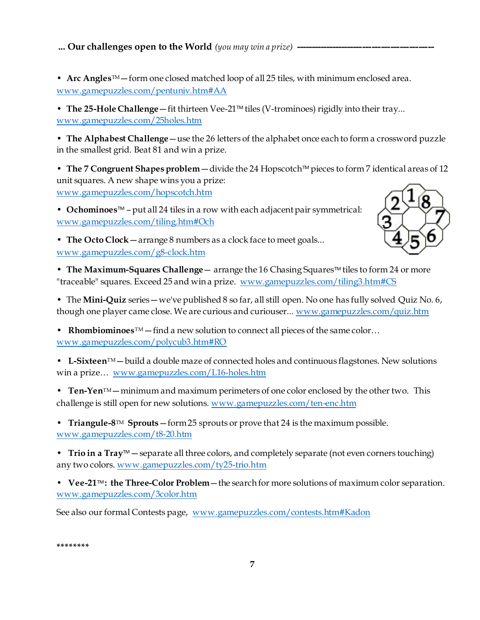**... Our challenges open to the World** *(you may win a prize)* **-**

• **Arc Angles**TM—form one closed matched loop of all 25 tiles, with minimum enclosed area. [www.gamepuzzles.com/pentuniv.htm#AA](http://www.gamepuzzles.com/pentuniv.htm#AA)

• The 25-Hole Challenge — fit thirteen Vee-21<sup>™</sup> tiles (V-trominoes) rigidly into their tray... [www.gamepuzzles.com/25holes.htm](http://www.gamepuzzles.com/25holes.htm)

• **[The Alphabest Challenge](file:///C:/Users/Kate/Documents/kadonweb/website/alphabest.htm)**—use the 26 letters of the alphabet once each to form a crossword puzzle in the smallest grid. Beat 81 and win a prize.

• The 7 Congruent Shapes problem — divide the 24 Hopscotch<sup>™</sup> pieces to form 7 identical areas of 12 unit squares. A new shape wins you a prize: [www.gamepuzzles.com/hopscotch.htm](http://www.gamepuzzles.com/hopscotch.htm)

• **Ochominoes**TM – put all 24 tiles in a row with each adjacent pair symmetrical: [www.gamepuzzles.com/tiling.htm#Och](http://www.gamepuzzles.com/tiling.htm#Och)



• **The Octo Clock**—arrange 8 numbers as a clock face to meet goals... [www.gamepuzzles.com/g8-clock.htm](http://www.gamepuzzles.com/g8-clock.htm)

• **[The Maximum-Squares Challenge](file:///C:/Users/Kate/Documents/kadonweb/website/tiling3.htm%23CS)** — arrange the 16 Chasing Squares™ tiles to form 24 or more "traceable" squares. Exceed 25 and win a prize. [www.gamepuzzles.com/tiling3.htm#CS](http://www.gamepuzzles.com/tiling3.htm#CS)

• The **Mini-Quiz** series—we've published 8 so far, all still open. No one has fully solved Quiz No. 6, though one player came close. We are curious and curiouser..[. www.gamepuzzles.com/quiz.htm](http://www.gamepuzzles.com/quiz.htm)

• **Rhombiominoes**TM—find a new solution to connect all pieces of the same color… [www.gamepuzzles.com/polycub3.htm#RO](http://www.gamepuzzles.com/polycub3.htm#RO)

• L-Sixteen<sup>TM</sup> — build a double maze of connected holes and continuous flagstones. New solutions win a prize… [www.gamepuzzles.com/L16-holes.htm](http://www.gamepuzzles.com/L16-holes.htm)

• **Ten-Yen**TM—minimum and maximum perimeters of one color enclosed by the other two. This challenge is still open for new solutions. [www.gamepuzzles.com/ten-enc.htm](http://www.gamepuzzles.com/ten-enc.htm)

• **Triangule-8**TM **Sprouts**—form 25 sprouts or prove that 24 is the maximum possible. [www.gamepuzzles.com/t8-20.htm](http://www.gamepuzzles.com/t8-20.htm)

• **Trio in a Tray**™ — separate all three colors, and completely separate (not even corners touching) any two colors. [www.gamepuzzles.com/ty25-trio.htm](http://www.gamepuzzles.com/ty25-trio.htm)

• **Vee-21**TM **[: the Three-Color Problem](file:///C:/Users/Kate/Documents/kadonweb/website/3color.htm)**—the search for more solutions of maximum color separation. [www.gamepuzzles.com/3color.htm](http://www.gamepuzzles.com/3color.htm)

See also our formal Contests page, [www.gamepuzzles.com/contests.htm#Kadon](http://www.gamepuzzles.com/contests.htm#Kadon)

**\*\*\*\*\*\*\*\***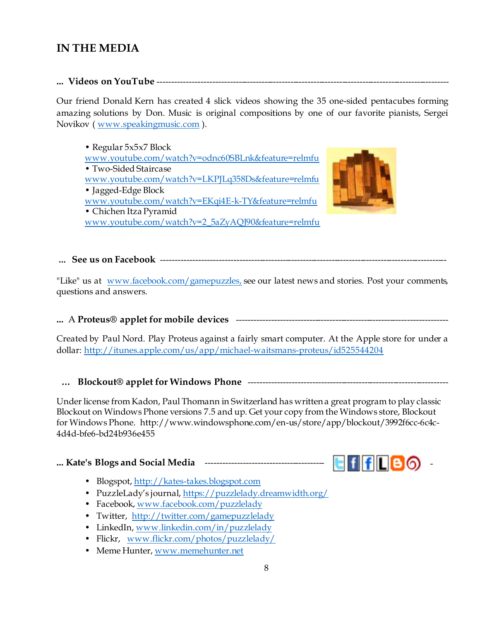# **IN THE MEDIA**

## **... Videos on YouTube** -----------------------------------------------------------------------------------------------------

Our friend Donald Kern has created 4 slick videos showing the 35 one-sided pentacubes forming amazing solutions by Don. Music is original compositions by one of our favorite pianists, Sergei Novikov ( [www.speakingmusic.com](http://www.speakingmusic.com/) ).

• Regular 5x5x7 Block [www.youtube.com/watch?v=odnc60SBLnk&feature=relmfu](http://www.youtube.com/watch?v=odnc60SBLnk&feature=relmfu) • Two-Sided Staircase [www.youtube.com/watch?v=LKPJLq358Ds&feature=relmfu](http://www.youtube.com/watch?v=LKPJLq358Ds&feature=relmfu) • Jagged-Edge Block [www.youtube.com/watch?v=EKqi4E-k-TY&feature=relmfu](http://www.youtube.com/watch?v=EKqi4E-k-TY&feature=relmfu) • Chichen Itza Pyramid [www.youtube.com/watch?v=2\\_5aZyAQJ90&feature=relmfu](http://www.youtube.com/watch?v=2_5aZyAQJ90&feature=relmfu)



# **... See us on Facebook** ---------------------------------------------------------------------------------------------------

"Like" us at [www.facebook.com/gamepuzzles,](http://www.facebook.com/gamepuzzles) see our latest news and stories. Post your comments, questions and answers.

# **...** A **Proteus® applet for mobile devices** -------------------------------------------------------------------------

Created by Paul Nord. Play Proteus against a fairly smart computer. At the Apple store for under a dollar[: http://itunes.apple.com/us/app/michael-waitsmans-proteus/id52554420](http://itunes.apple.com/us/app/michael-waitsmans-proteus/id525544204)4

# **… Blockout® applet for Windows Phone** ---------------------------------------------------------------------

Under license from Kadon, Paul Thomann in Switzerland has written a great program to play classic Blockout on Windows Phone versions 7.5 and up. Get your copy from the Windows store, Blockout for Windows Phone. http://www.windowsphone.com/en-us/store/app/blockout/3992f6cc-6c4c-4d4d-bfe6-bd24b936e455

# **... Kate's Blogs and Social Media** ----------------------------------------- -



- Blogspot, [http://kates-takes.blogspot.com](http://kates-takes.blogspot.com/)
- PuzzleLady's journal[, https://puzzlelady.dreamwidth.org/](https://puzzlelady.dreamwidth.org/)
- Facebook, [www.facebook.com/puzzlelady](http://www.facebook.com/puzzlelady)
- Twitter, <http://twitter.com/gamepuzzlelady>
- LinkedIn, [www.linkedin.com/in/puzzlelady](http://www.linkedin.com/in/puzzlelady)
- Flickr, [www.flickr.com/photos/puzzlelady/](http://www.flickr.com/photos/puzzlelady/)
- Meme Hunter, [www.memehunter.net](http://www.memehunter.net/)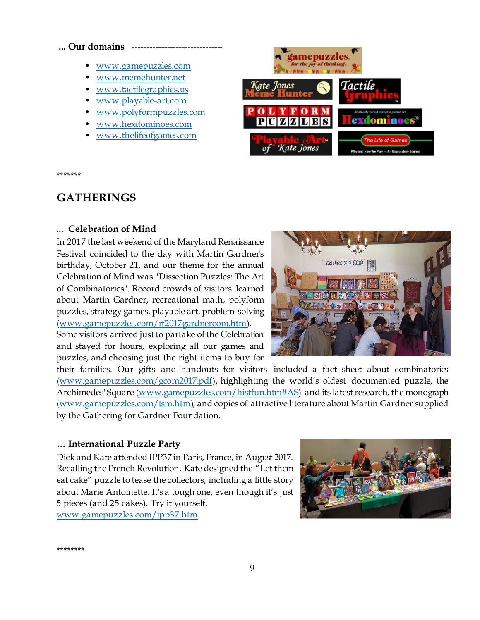#### ... Our domains

- [www.gamepuzzles.com](http://www.gamepuzzles.com/)
- [www.memehunter.net](http://www.memehunter.net/)
- [www.tactilegraphics.us](http://www.tactilegraphics.us/)
- [www.playable-art.com](http://www.playable-art.com/)
- [www.polyformpuzzles.com](http://www.polyformpuzzles.com/)
- [www.hexdominoes.com](http://www.hexdominoes.com/)
- [www.thelifeofgames.com](http://www.thelifeofgames.com/)



\*\*\*\*\*\*\*

# **GATHERINGS**

#### **... Celebration of Mind**

In 2017 the last weekend of the Maryland Renaissance Festival coincided to the day with Martin Gardner's birthday, October 21, and our theme for the annual Celebration of Mind was "Dissection Puzzles: The Art of Combinatorics". Record crowds of visitors learned about Martin Gardner, recreational math, polyform puzzles, strategy games, playable art, problem-solving [\(www.gamepuzzles.com/rf2017gardnercom.htm](http://www.gamepuzzles.com/rf2017gardnercom.htm)).

Some visitors arrived just to partake of the Celebration and stayed for hours, exploring all our games and puzzles, and choosing just the right items to buy for



their families. Our gifts and handouts for visitors included a fact sheet about combinatorics [\(www.gamepuzzles.com/gcom2017.pdf](http://www.gamepuzzles.com/gcom2017.pdf)), highlighting the world's oldest documented puzzle, the Archimedes' Square [\(www.gamepuzzles.com/histfun.htm#AS](http://www.gamepuzzles.com/histfun.htm#AS)) and its latest research, th[e monograph](file:///C:/Users/Kate/Documents/kadonweb/website/tsm.htm) [\(www.gamepuzzles.com/tsm.htm](http://www.gamepuzzles.com/tsm.htm)), and copies of attractive literature about Martin Gardner supplied by the Gathering for Gardner Foundation.

#### **… International Puzzle Party**

Dick and Kate attended IPP37 in Paris, France, in August 2017. Recalling the French Revolution, Kate designed the "Let them eat cake" puzzle to tease the collectors, including a little story about Marie Antoinette. It's a tough one, even though it's just 5 pieces (and 25 cakes). Try it yourself. [www.gamepuzzles.com/ipp37.htm](http://www.gamepuzzles.com/ipp37.htm)



\*\*\*\*\*\*\*\*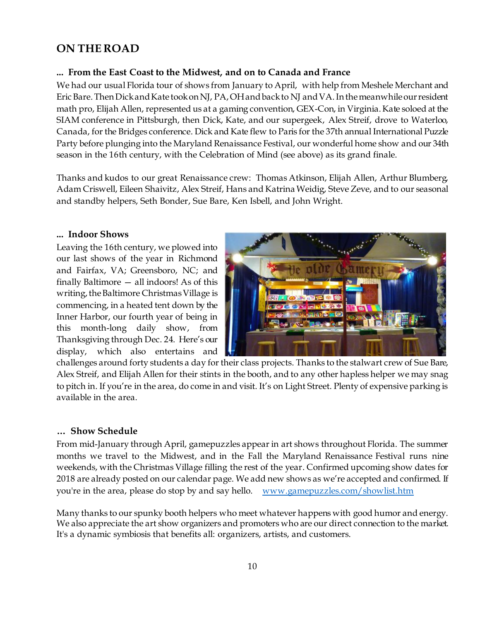# **ON THE ROAD**

## **... From the East Coast to the Midwest, and on to Canada and France**

We had our usual Florida tour of shows from January to April, with help from Meshele Merchant and Eric Bare. Then Dick and Kate took on NJ, PA, OH and back to NJ and VA. In the meanwhile our resident math pro, Elijah Allen, represented us at a gaming convention, GEX-Con, in Virginia. Kate soloed at the SIAM conference in Pittsburgh, then Dick, Kate, and our supergeek, Alex Streif, drove to Waterloo, Canada, for the Bridges conference. Dick and Kate flew to Paris for the 37th annual International Puzzle Party before plunging into the Maryland Renaissance Festival, our wonderful home show and our 34th season in the 16th century, with the Celebration of Mind (see above) as its grand finale.

Thanks and kudos to our great Renaissance crew: Thomas Atkinson, Elijah Allen, Arthur Blumberg, Adam Criswell, Eileen Shaivitz, Alex Streif, Hans and Katrina Weidig, Steve Zeve, and to our seasonal and standby helpers, Seth Bonder, Sue Bare, Ken Isbell, and John Wright.

#### **... Indoor Shows**

Leaving the 16th century, we plowed into our last shows of the year in Richmond and Fairfax, VA; Greensboro, NC; and finally Baltimore — all indoors! As of this writing, the Baltimore Christmas Village is commencing, in a heated tent down by the Inner Harbor, our fourth year of being in this month-long daily show, from Thanksgiving through Dec. 24. Here's our display, which also entertains and



challenges around forty students a day for their class projects. Thanks to the stalwart crew of Sue Bare, Alex Streif, and Elijah Allen for their stints in the booth, and to any other hapless helper we may snag to pitch in. If you're in the area, do come in and visit. It's on Light Street. Plenty of expensive parking is available in the area.

#### **… Show Schedule**

From mid-January through April, gamepuzzles appear in art shows throughout Florida. The summer months we travel to the Midwest, and in the Fall the Maryland Renaissance Festival runs nine weekends, with the Christmas Village filling the rest of the year. Confirmed upcoming show dates for 2018 are already posted on our calendar page. We add new shows as we're accepted and confirmed. If you're in the area, please do stop by and say hello. [www.gamepuzzles.com/showlist.ht](http://www.gamepuzzles.com/showlist.htm)m

Many thanks to our spunky booth helpers who meet whatever happens with good humor and energy. We also appreciate the art show organizers and promoters who are our direct connection to the market. It's a dynamic symbiosis that benefits all: organizers, artists, and customers.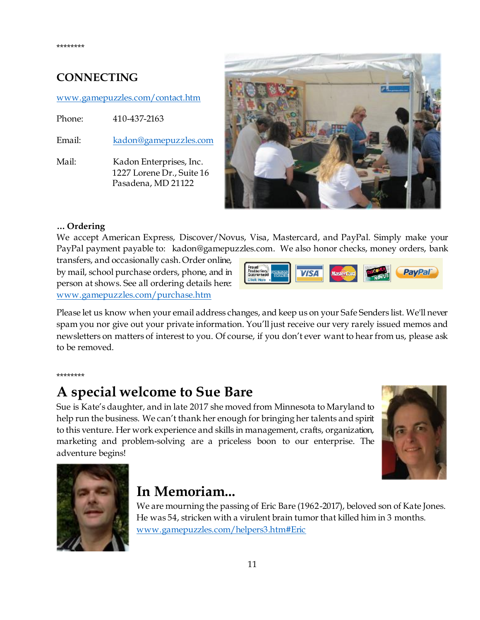# **CONNECTING**

### [www.gamepuzzles.com/contact.htm](http://www.gamepuzzles.com/contact.htm)

Phone: 410-437-2163

Email: [kadon@gamepuzzles.com](mailto:kadon@gamepuzzles.com)

Mail: Kadon Enterprises, Inc. 1227 Lorene Dr., Suite 16 Pasadena, MD 21122



## **… Ordering**

We accept American Express, Discover/Novus, Visa, Mastercard, and PayPal. Simply make your PayPal payment payable to: kadon@gamepuzzles.com. We also honor checks, money orders, bank

transfers, and occasionally cash. Order online, by mail, school purchase orders, phone, and in person at shows. See all ordering details here: [www.gamepuzzles.com/purchase.htm](http://www.gamepuzzles.com/purchase.htm)



Please let us know when your email address changes, and keep us on your Safe Senders list. We'll never spam you nor give out your private information. You'll just receive our very rarely issued memos and newsletters on matters of interest to you. Of course, if you don't ever want to hear from us, please ask to be removed.

#### \*\*\*\*\*\*\*\*

# **A special welcome to Sue Bare**

Sue is Kate's daughter, and in late 2017 she moved from Minnesota to Maryland to help run the business. We can't thank her enough for bringing her talents and spirit to this venture. Her work experience and skills in management, crafts, organization, marketing and problem-solving are a priceless boon to our enterprise. The adventure begins!





# **In Memoriam...**

We are mourning the passing of Eric Bare (1962-2017), beloved son of Kate Jones. He was 54, stricken with a virulent brain tumor that killed him in 3 months. [www.gamepuzzles.com/helpers3.htm#Eric](http://www.gamepuzzles.com/helpers3.htm#Eric)